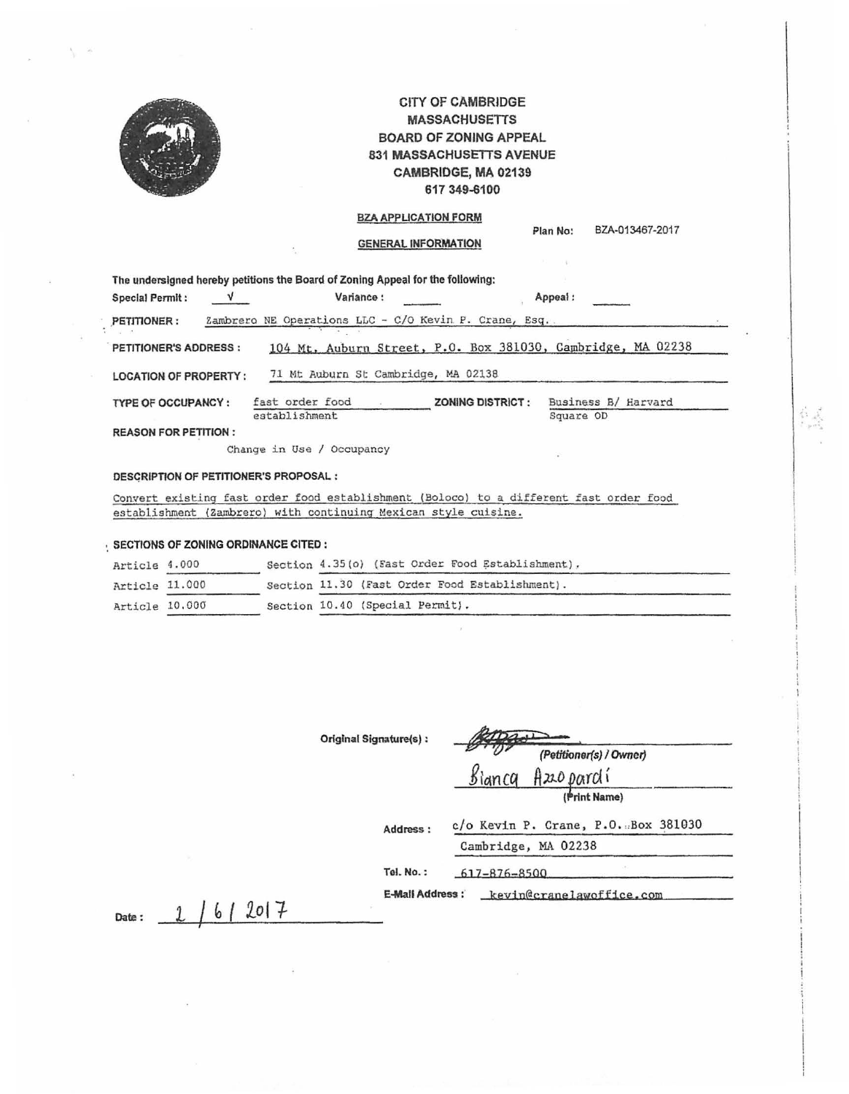

# CITY OF CAMBRIDGE **MASSACHUSETTS** BOARD OF ZONING APPEAL 831 MASSACHUSETTS AVENUE CAMBRIDGE, MA 02139 617 349-6100

# BZA APPLICATION FORM

### GENERAL **INFORMATION**

|                              |  | The undersigned hereby petitions the Board of Zoning Appeal for the following: |                         |                                                             |  |  |
|------------------------------|--|--------------------------------------------------------------------------------|-------------------------|-------------------------------------------------------------|--|--|
| Special Permit:              |  | Variance:                                                                      |                         | Appeal:                                                     |  |  |
| PETITIONER:                  |  | Zambrero NE Operations LLC - C/O Kevin P. Crane, Esq                           |                         |                                                             |  |  |
| <b>PETITIONER'S ADDRESS:</b> |  |                                                                                |                         | 104 Mt. Auburn Street, P.O. Box 381030, Cambridge, MA 02238 |  |  |
| <b>LOCATION OF PROPERTY:</b> |  | 71 Mt Auburn St Cambridge, MA 02138                                            |                         |                                                             |  |  |
| TYPE OF OCCUPANCY:           |  | fast order food<br>establishment                                               | <b>ZONING DISTRICT:</b> | Business B/ Harvard<br>Square OD                            |  |  |
| <b>REASON FOR PETITION:</b>  |  |                                                                                |                         |                                                             |  |  |
|                              |  | Change in Use / Occupancy                                                      |                         | ٠                                                           |  |  |

### **OESGRIPTION OF PETITIONER'S PROPOSAL** :

ConYert existing fast order food establishment (Boloco) to a different fast order food establishment (Zambrero) with continuing Mexican style cuisine.

|                | SECTIONS OF ZONING ORDINANCE CITED : |                                                  |
|----------------|--------------------------------------|--------------------------------------------------|
| Article 4.000  |                                      | Section 4.35(o) (Fast Order Food Establishment). |
| Article 11.000 |                                      | Section 11.30 (Fast Order Food Establishment).   |
| Article 10.000 |                                      | Section 10.40 (Special Permit).                  |

| Original Signature(s): | (Petitioner(s) / Owner)             |  |  |
|------------------------|-------------------------------------|--|--|
|                        | Bianca Azepardí                     |  |  |
|                        | (Print Name)                        |  |  |
| Address:               | c/o Kevin P. Crane, P.O. Box 381030 |  |  |
|                        | Cambridge, MA 02238                 |  |  |
| Tel. No.:              | 161<br>$617 - 876 - 8500$           |  |  |

**Plan No:** BZA-013467-2017

E-Mall Address: *kevin@cranelawoffice.com* 

**Date :** *L* / b ( *lol 1*

*I* 

t al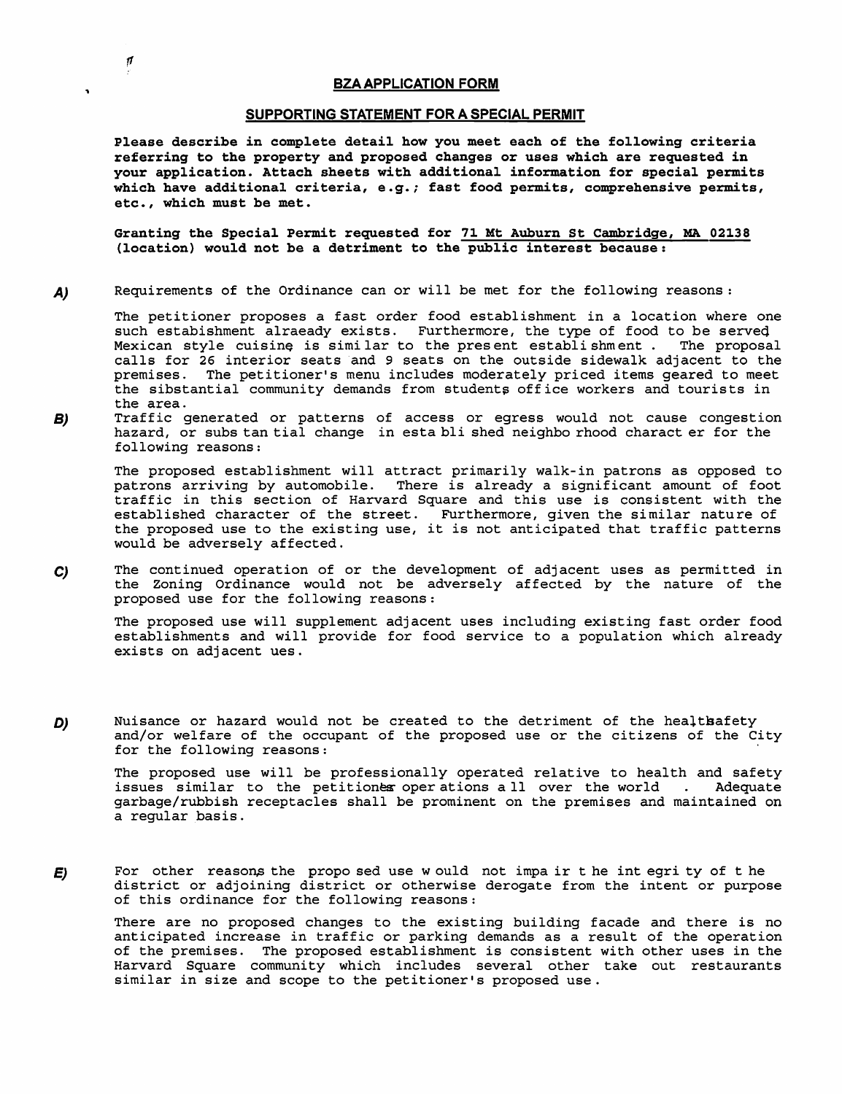*f1* 

 $\ddot{\phantom{a}}$ 

### **SUPPORTING STATEMENT FOR A SPECIAL PERMIT**

**Please describe in complete detail how you meet each of the following criteria referring to the property and proposed changes or uses which are requested in your application. Attach sheets with additional information for special permits which have additional criteria, e.g.; fast food permits, comprehensive permits, etc., which must be met.** 

**Granting the Special Permit requested for 71 Mt Auburn St Cambridge, MA 02138 (location) would not be a detriment to the public interest because:** 

**AJ**  Requirements of the Ordinance can or will be met for the following reasons:

The petitioner proposes a fast order food establishment in a location where one such estabishment alraeady exists. Furthermore, the type of food to be served<br>Mexican style cuisine is similar to the present establishment. The proposal Mexican style cuisine is similar to the present establishment. calls for 26 interior seats and 9 seats on the outside sidewalk adjacent to the premises. The petitioner's menu includes moderately priced items geared to meet the sibstantial community demands from students office workers and tourists in the area.

**BJ**  Traffic generated or patterns of access or egress would not cause congestion hazard, or subs tan tial change in esta bli shed neighbo rhood charact er for the following reasons:

The proposed establishment will attract primarily walk-in patrons as opposed to patrons arriving by automobile. There is already a significant amount of foot There is already a significant amount of foot traffic in this section of Harvard Square and this use is consistent with the established character of the street. Furthermore, given the similar nature of the proposed use to the existing use, it is not anticipated that traffic patterns would be adversely affected.

**CJ**  The continued operation of or the development of adjacent uses as permitted in the Zoning Ordinance would not be adversely affected by the nature of the proposed use for the following reasons:

The proposed use will supplement adjacent uses including existing fast order food establishments and will provide for food service to a population which already exists on adjacent ues.

*DJ*  Nuisance or hazard would not be created to the detriment of the healtbafety and/or welfare of the occupant of the proposed use or the citizens of the City for the following reasons:

The proposed use will be professionally operated relative to health and safety<br>issues similar to the petitionex operations all over the world . Adequate issues similar to the petitiones operations all over the world . garbage/rubbish receptacles shall be prominent on the premises and maintained on a regular basis.

**EJ**  For other reasons the propo sed use w ould not impa ir the int egri ty of the district or adjoining district or otherwise derogate from the intent or purpose of this ordinance for the following reasons:

There are no proposed changes to the existing building facade and there is no anticipated increase in traffic or parking demands as a result of the operation of the premises. The proposed establishment is consistent with other uses in the Harvard Square community which includes several other take out restaurants similar in size and scope to the petitioner's proposed use.